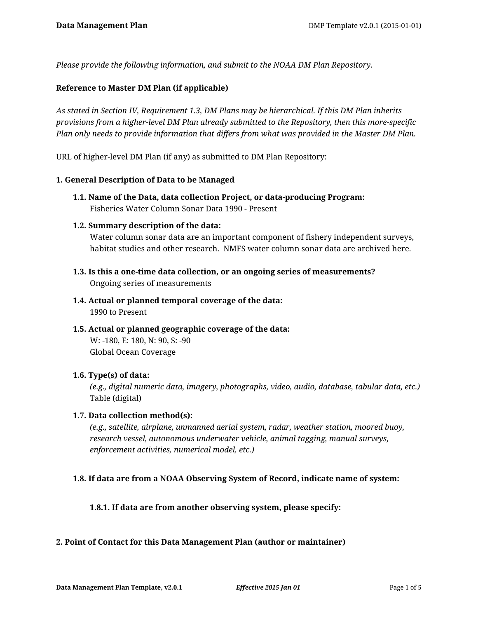*Please provide the following information, and submit to the NOAA DM Plan Repository.*

### **Reference to Master DM Plan (if applicable)**

*As stated in Section IV, Requirement 1.3, DM Plans may be hierarchical. If this DM Plan inherits provisions from a higher-level DM Plan already submitted to the Repository, then this more-specific Plan only needs to provide information that differs from what was provided in the Master DM Plan.*

URL of higher-level DM Plan (if any) as submitted to DM Plan Repository:

#### **1. General Description of Data to be Managed**

**1.1. Name of the Data, data collection Project, or data-producing Program:** Fisheries Water Column Sonar Data 1990 - Present

#### **1.2. Summary description of the data:**

Water column sonar data are an important component of fishery independent surveys, habitat studies and other research. NMFS water column sonar data are archived here.

- **1.3. Is this a one-time data collection, or an ongoing series of measurements?** Ongoing series of measurements
- **1.4. Actual or planned temporal coverage of the data:** 1990 to Present
- **1.5. Actual or planned geographic coverage of the data:** W: -180, E: 180, N: 90, S: -90 Global Ocean Coverage

#### **1.6. Type(s) of data:**

*(e.g., digital numeric data, imagery, photographs, video, audio, database, tabular data, etc.)* Table (digital)

#### **1.7. Data collection method(s):**

*(e.g., satellite, airplane, unmanned aerial system, radar, weather station, moored buoy, research vessel, autonomous underwater vehicle, animal tagging, manual surveys, enforcement activities, numerical model, etc.)*

#### **1.8. If data are from a NOAA Observing System of Record, indicate name of system:**

**1.8.1. If data are from another observing system, please specify:**

#### **2. Point of Contact for this Data Management Plan (author or maintainer)**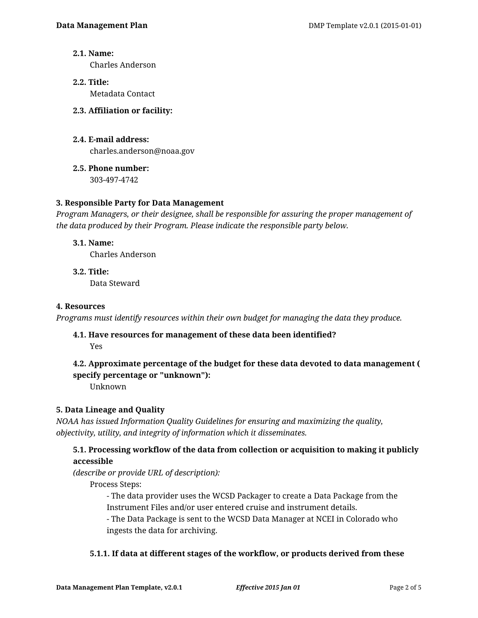### **2.1. Name:**

Charles Anderson

- **2.2. Title:** Metadata Contact
- **2.3. Affiliation or facility:**
- **2.4. E-mail address:** charles.anderson@noaa.gov
- **2.5. Phone number:** 303-497-4742

### **3. Responsible Party for Data Management**

*Program Managers, or their designee, shall be responsible for assuring the proper management of the data produced by their Program. Please indicate the responsible party below.*

### **3.1. Name:**

Charles Anderson

**3.2. Title:** Data Steward

### **4. Resources**

*Programs must identify resources within their own budget for managing the data they produce.*

# **4.1. Have resources for management of these data been identified?**

Yes

## **4.2. Approximate percentage of the budget for these data devoted to data management ( specify percentage or "unknown"):**

Unknown

### **5. Data Lineage and Quality**

*NOAA has issued Information Quality Guidelines for ensuring and maximizing the quality, objectivity, utility, and integrity of information which it disseminates.*

### **5.1. Processing workflow of the data from collection or acquisition to making it publicly accessible**

*(describe or provide URL of description):*

Process Steps:

- The data provider uses the WCSD Packager to create a Data Package from the Instrument Files and/or user entered cruise and instrument details.

- The Data Package is sent to the WCSD Data Manager at NCEI in Colorado who ingests the data for archiving.

### **5.1.1. If data at different stages of the workflow, or products derived from these**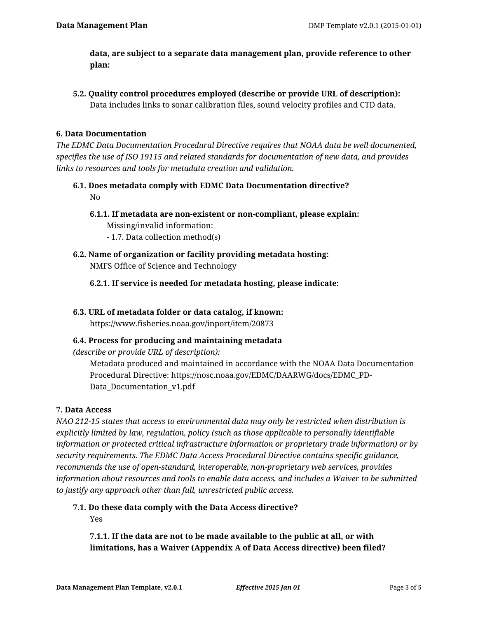**data, are subject to a separate data management plan, provide reference to other plan:**

**5.2. Quality control procedures employed (describe or provide URL of description):** Data includes links to sonar calibration files, sound velocity profiles and CTD data.

### **6. Data Documentation**

*The EDMC Data Documentation Procedural Directive requires that NOAA data be well documented, specifies the use of ISO 19115 and related standards for documentation of new data, and provides links to resources and tools for metadata creation and validation.*

- **6.1. Does metadata comply with EDMC Data Documentation directive?** No
	- **6.1.1. If metadata are non-existent or non-compliant, please explain:**

Missing/invalid information:

- 1.7. Data collection method(s)
- **6.2. Name of organization or facility providing metadata hosting:** NMFS Office of Science and Technology
	- **6.2.1. If service is needed for metadata hosting, please indicate:**

#### **6.3. URL of metadata folder or data catalog, if known:**

https://www.fisheries.noaa.gov/inport/item/20873

#### **6.4. Process for producing and maintaining metadata**

*(describe or provide URL of description):*

Metadata produced and maintained in accordance with the NOAA Data Documentation Procedural Directive: https://nosc.noaa.gov/EDMC/DAARWG/docs/EDMC\_PD-Data\_Documentation\_v1.pdf

#### **7. Data Access**

*NAO 212-15 states that access to environmental data may only be restricted when distribution is explicitly limited by law, regulation, policy (such as those applicable to personally identifiable information or protected critical infrastructure information or proprietary trade information) or by security requirements. The EDMC Data Access Procedural Directive contains specific guidance, recommends the use of open-standard, interoperable, non-proprietary web services, provides information about resources and tools to enable data access, and includes a Waiver to be submitted to justify any approach other than full, unrestricted public access.*

**7.1. Do these data comply with the Data Access directive?**

Yes

**7.1.1. If the data are not to be made available to the public at all, or with limitations, has a Waiver (Appendix A of Data Access directive) been filed?**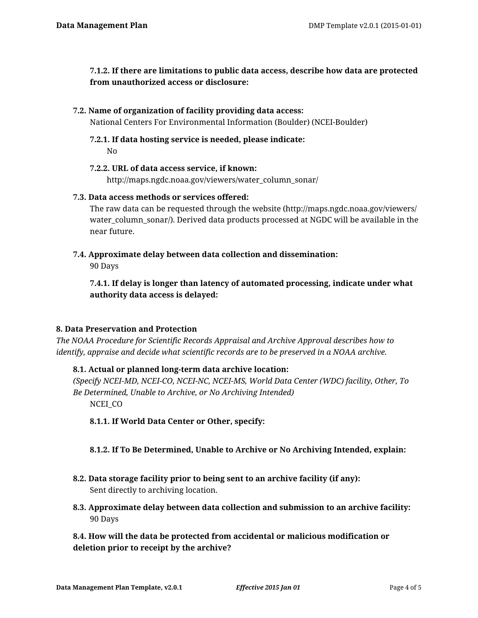**7.1.2. If there are limitations to public data access, describe how data are protected from unauthorized access or disclosure:**

### **7.2. Name of organization of facility providing data access:**

National Centers For Environmental Information (Boulder) (NCEI-Boulder)

**7.2.1. If data hosting service is needed, please indicate:** No

#### **7.2.2. URL of data access service, if known:**

http://maps.ngdc.noaa.gov/viewers/water\_column\_sonar/

### **7.3. Data access methods or services offered:**

The raw data can be requested through the website (http://maps.ngdc.noaa.gov/viewers/ water\_column\_sonar/). Derived data products processed at NGDC will be available in the near future.

**7.4. Approximate delay between data collection and dissemination:**

90 Days

**7.4.1. If delay is longer than latency of automated processing, indicate under what authority data access is delayed:**

### **8. Data Preservation and Protection**

*The NOAA Procedure for Scientific Records Appraisal and Archive Approval describes how to identify, appraise and decide what scientific records are to be preserved in a NOAA archive.*

### **8.1. Actual or planned long-term data archive location:**

*(Specify NCEI-MD, NCEI-CO, NCEI-NC, NCEI-MS, World Data Center (WDC) facility, Other, To Be Determined, Unable to Archive, or No Archiving Intended)* NCEI CO

**8.1.1. If World Data Center or Other, specify:**

### **8.1.2. If To Be Determined, Unable to Archive or No Archiving Intended, explain:**

- **8.2. Data storage facility prior to being sent to an archive facility (if any):** Sent directly to archiving location.
- **8.3. Approximate delay between data collection and submission to an archive facility:** 90 Days

**8.4. How will the data be protected from accidental or malicious modification or deletion prior to receipt by the archive?**